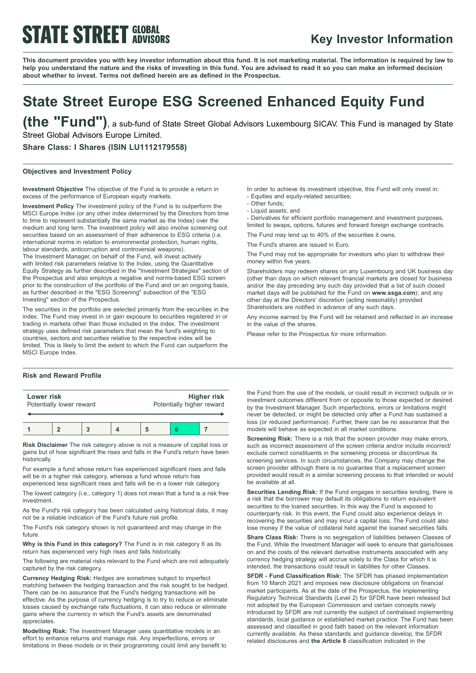## **STATE STREET GLOBAL**

### **Key Investor Information**

This document provides you with key investor information about this fund. It is not marketing material. The information is required by law to help you understand the nature and the risks of investing in this fund. You are advised to read it so you can make an informed decision **about whether to invest. Terms not defined herein are as defined in the Prospectus.**

## **State Street Europe ESG Screened Enhanced Equity Fund**

**(the "Fund")**, <sup>a</sup> sub-fund of State Street Global Advisors Luxembourg SICAV. This Fund is managed by State Street Global Advisors Europe Limited.

**Share Class: I Shares (ISIN LU1112179558)**

### **Objectives and Investment Policy**

**Investment Objective** The objective of the Fund is to provide a return in excess of the performance of European equity markets.

**Investment Policy** The investment policy of the Fund is to outperform the MSCI Europe Index (or any other index determined by the Directors from time to time to represent substantially the same market as the Index) over the medium and long term. The investment policy will also involve screening out securities based on an assessment of their adherence to ESG criteria (i.e. international norms in relation to environmental protection, human rights, labour standards, anticorruption and controversial weapons). The Investment Manager, on behalf of the Fund, will invest actively with limited risk parameters relative to the Index, using the Quantitative Equity Strategy as further described in the "Investment Strategies" section of the Prospectus and also employs a negative and norms-based ESG screen prior to the construction of the portfolio of the Fund and on an ongoing basis, as further described in the "ESG Screening" subsection of the "ESG Investing" section of the Prospectus.

The securities in the portfolio are selected primarily from the securities in the index. The Fund may invest in or gain exposure to securities registered in or trading in markets other than those included in the index. The investment strategy uses defined risk parameters that mean the fund's weighting to countries, sectors and securities relative to the respective index will be limited. This is likely to limit the extent to which the Fund can outperform the MSCI Europe Index.

### **Risk and Reward Profile**

| Lower risk | Potentially lower reward |  | Potentially higher reward | Higher risk |
|------------|--------------------------|--|---------------------------|-------------|
|            |                          |  |                           |             |

**Risk Disclaimer** The risk category above is not a measure of capital loss or gains but of how significant the rises and falls in the Fund's return have been historically.

For example a fund whose return has experienced significant rises and falls will be in a higher risk category, whereas a fund whose return has

experienced less significant rises and falls will be in a lower risk category. The lowest category (i.e., category 1) does not mean that a fund is a risk free

investment. As the Fund's risk category has been calculated using historical data, it may

not be a reliable indication of the Fund's future risk profile.

The Fund's risk category shown is not guaranteed and may change in the future.

**Why is this Fund in this category?** The Fund is in risk category 6 as its return has experienced very high rises and falls historically.

The following are material risks relevant to the Fund which are not adequately captured by the risk category.

**Currency Hedging Risk:** Hedges are sometimes subject to imperfect matching between the hedging transaction and the risk sought to be hedged. There can be no assurance that the Fund's hedging transactions will be effective. As the purpose of currency hedging is to try to reduce or eliminate losses caused by exchange rate fluctuations, it can also reduce or eliminate gains where the currency in which the Fund's assets are denominated appreciates.

**Modelling Risk:** The Investment Manager uses quantitative models in an effort to enhance returns and manage risk. Any imperfections, errors or limitations in these models or in their programming could limit any benefit to In order to achieve its investment objective, this Fund will only invest in: - Equities and equity-related securities;

- Other funds;

- Liquid assets; and

- Derivatives for efficient portfolio management and investment purposes, limited to swaps, options, futures and forward foreign exchange contracts.

The Fund may lend up to 40% of the securities it owns.

The Fund's shares are issued in Euro.

The Fund may not be appropriate for investors who plan to withdraw their money within five years.

Shareholders may redeem shares on any Luxembourg and UK business day (other than days on which relevant financial markets are closed for business and/or the day preceding any such day provided that a list of such closed market days will be published for the Fund on **www.ssga.com**); and any other day at the Directors' discretion (acting reasonably) provided Shareholders are notified in advance of any such days.

Any income earned by the Fund will be retained and reflected in an increase in the value of the shares.

Please refer to the Prospectus for more information.

the Fund from the use of the models, or could result in incorrect outputs or in investment outcomes different from or opposite to those expected or desired by the Investment Manager. Such imperfections, errors or limitations might never be detected, or might be detected only after a Fund has sustained a loss (or reduced performance). Further, there can be no assurance that the models will behave as expected in all market conditions.

**Screening Risk:** There is a risk that the screen provider may make errors, such as incorrect assessment of the screen criteria and/or include incorrect/ exclude correct constituents in the screening process or discontinue its screening services. In such circumstances, the Company may change the screen provider although there is no guarantee that a replacement screen provided would result in a similar screening process to that intended or would be available at all.

**Securities Lending Risk:** If the Fund engages in securities lending, there is a risk that the borrower may default its obligations to return equivalent securities to the loaned securities. In this way the Fund is exposed to counterparty risk. In this event, the Fund could also experience delays in recovering the securities and may incur a capital loss. The Fund could also lose money if the value of collateral held against the loaned securities falls.

**Share Class Risk:** There is no segregation of liabilities between Classes of the Fund. While the Investment Manager will seek to ensure that gains/losses on and the costs of the relevant derivative instruments associated with any currency hedging strategy will accrue solely to the Class for which it is intended, the transactions could result in liabilities for other Classes.

**SFDR - Fund Classification Risk:** The SFDR has phased implementation from 10 March 2021 and imposes new disclosure obligations on financial market participants. As at the date of the Prospectus, the implementing Regulatory Technical Standards (Level 2) for SFDR have been released but not adopted by the European Commission and certain concepts newly introduced by SFDR are not currently the subject of centralised implementing standards, local guidance or established market practice. The Fund has been assessed and classified in good faith based on the relevant information currently available. As these standards and guidance develop, the SFDR related disclosures and **the Article 8** classification indicated in the